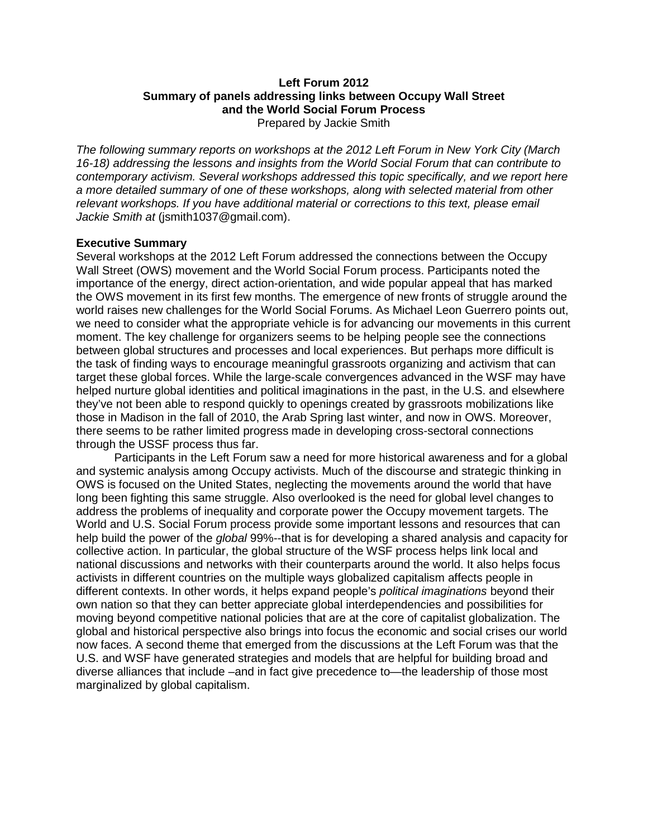# **Left Forum 2012 Summary of panels addressing links between Occupy Wall Street and the World Social Forum Process**

Prepared by Jackie Smith

*The following summary reports on workshops at the 2012 Left Forum in New York City (March 16-18) addressing the lessons and insights from the World Social Forum that can contribute to contemporary activism. Several workshops addressed this topic specifically, and we report here a more detailed summary of one of these workshops, along with selected material from other relevant workshops. If you have additional material or corrections to this text, please email Jackie Smith at* (jsmith1037@gmail.com).

### **Executive Summary**

Several workshops at the 2012 Left Forum addressed the connections between the Occupy Wall Street (OWS) movement and the World Social Forum process. Participants noted the importance of the energy, direct action-orientation, and wide popular appeal that has marked the OWS movement in its first few months. The emergence of new fronts of struggle around the world raises new challenges for the World Social Forums. As Michael Leon Guerrero points out, we need to consider what the appropriate vehicle is for advancing our movements in this current moment. The key challenge for organizers seems to be helping people see the connections between global structures and processes and local experiences. But perhaps more difficult is the task of finding ways to encourage meaningful grassroots organizing and activism that can target these global forces. While the large-scale convergences advanced in the WSF may have helped nurture global identities and political imaginations in the past, in the U.S. and elsewhere they've not been able to respond quickly to openings created by grassroots mobilizations like those in Madison in the fall of 2010, the Arab Spring last winter, and now in OWS. Moreover, there seems to be rather limited progress made in developing cross-sectoral connections through the USSF process thus far.

Participants in the Left Forum saw a need for more historical awareness and for a global and systemic analysis among Occupy activists. Much of the discourse and strategic thinking in OWS is focused on the United States, neglecting the movements around the world that have long been fighting this same struggle. Also overlooked is the need for global level changes to address the problems of inequality and corporate power the Occupy movement targets. The World and U.S. Social Forum process provide some important lessons and resources that can help build the power of the *global* 99%--that is for developing a shared analysis and capacity for collective action. In particular, the global structure of the WSF process helps link local and national discussions and networks with their counterparts around the world. It also helps focus activists in different countries on the multiple ways globalized capitalism affects people in different contexts. In other words, it helps expand people's *political imaginations* beyond their own nation so that they can better appreciate global interdependencies and possibilities for moving beyond competitive national policies that are at the core of capitalist globalization. The global and historical perspective also brings into focus the economic and social crises our world now faces. A second theme that emerged from the discussions at the Left Forum was that the U.S. and WSF have generated strategies and models that are helpful for building broad and diverse alliances that include –and in fact give precedence to—the leadership of those most marginalized by global capitalism.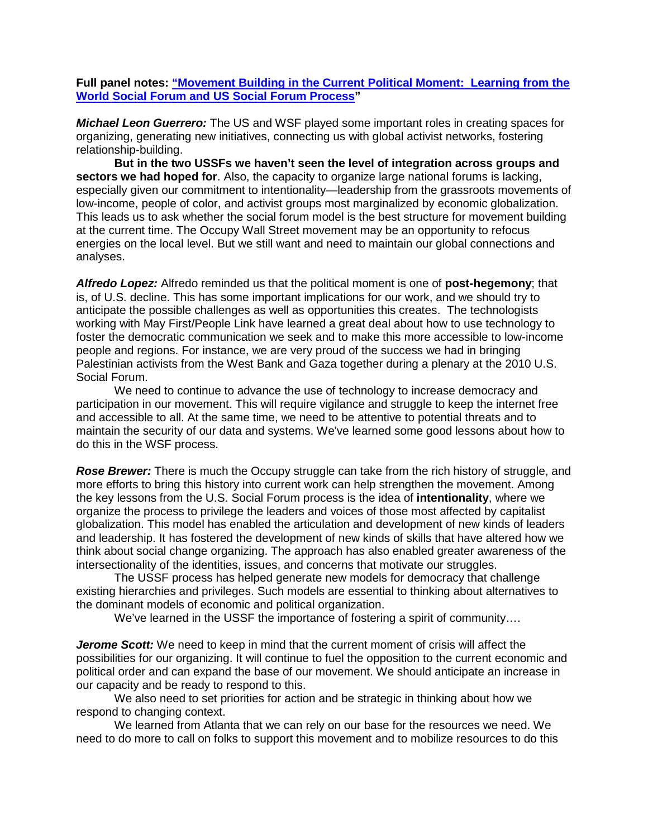### **Full panel notes: ["Movement Building in the Current Political Moment: Learning from the](http://www.leftforum.org/panel/movement-building-current-political-moment%E2%80%94learning-us-and-world-social-forum-process)  [World Social Forum and US Social Forum Process"](http://www.leftforum.org/panel/movement-building-current-political-moment%E2%80%94learning-us-and-world-social-forum-process)**

*Michael Leon Guerrero:* The US and WSF played some important roles in creating spaces for organizing, generating new initiatives, connecting us with global activist networks, fostering relationship-building.

**But in the two USSFs we haven't seen the level of integration across groups and sectors we had hoped for**. Also, the capacity to organize large national forums is lacking, especially given our commitment to intentionality—leadership from the grassroots movements of low-income, people of color, and activist groups most marginalized by economic globalization. This leads us to ask whether the social forum model is the best structure for movement building at the current time. The Occupy Wall Street movement may be an opportunity to refocus energies on the local level. But we still want and need to maintain our global connections and analyses.

*Alfredo Lopez:* Alfredo reminded us that the political moment is one of **post-hegemony**; that is, of U.S. decline. This has some important implications for our work, and we should try to anticipate the possible challenges as well as opportunities this creates. The technologists working with May First/People Link have learned a great deal about how to use technology to foster the democratic communication we seek and to make this more accessible to low-income people and regions. For instance, we are very proud of the success we had in bringing Palestinian activists from the West Bank and Gaza together during a plenary at the 2010 U.S. Social Forum.

We need to continue to advance the use of technology to increase democracy and participation in our movement. This will require vigilance and struggle to keep the internet free and accessible to all. At the same time, we need to be attentive to potential threats and to maintain the security of our data and systems. We've learned some good lessons about how to do this in the WSF process.

*Rose Brewer:* There is much the Occupy struggle can take from the rich history of struggle, and more efforts to bring this history into current work can help strengthen the movement. Among the key lessons from the U.S. Social Forum process is the idea of **intentionality**, where we organize the process to privilege the leaders and voices of those most affected by capitalist globalization. This model has enabled the articulation and development of new kinds of leaders and leadership. It has fostered the development of new kinds of skills that have altered how we think about social change organizing. The approach has also enabled greater awareness of the intersectionality of the identities, issues, and concerns that motivate our struggles.

The USSF process has helped generate new models for democracy that challenge existing hierarchies and privileges. Such models are essential to thinking about alternatives to the dominant models of economic and political organization.

We've learned in the USSF the importance of fostering a spirit of community....

*Jerome Scott:* We need to keep in mind that the current moment of crisis will affect the possibilities for our organizing. It will continue to fuel the opposition to the current economic and political order and can expand the base of our movement. We should anticipate an increase in our capacity and be ready to respond to this.

We also need to set priorities for action and be strategic in thinking about how we respond to changing context.

We learned from Atlanta that we can rely on our base for the resources we need. We need to do more to call on folks to support this movement and to mobilize resources to do this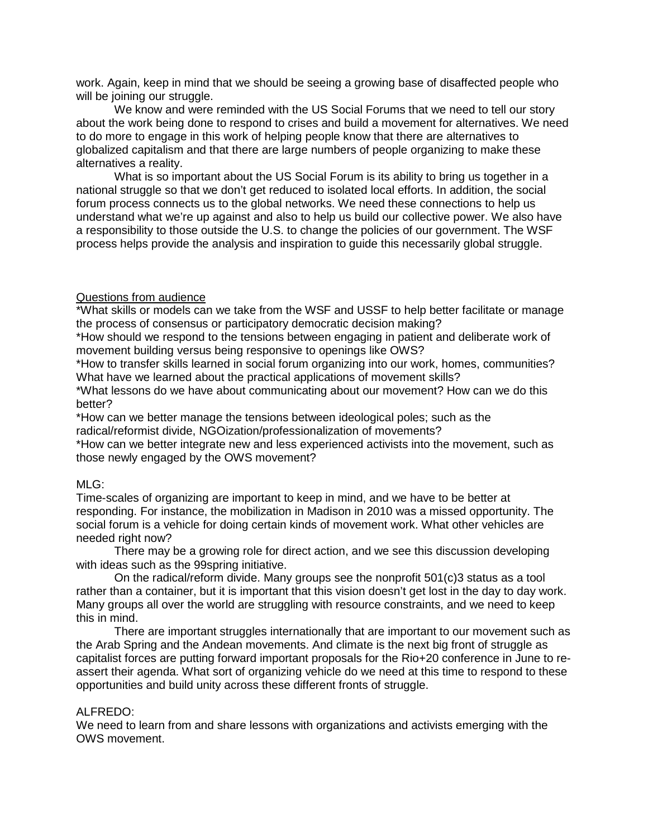work. Again, keep in mind that we should be seeing a growing base of disaffected people who will be joining our struggle.

We know and were reminded with the US Social Forums that we need to tell our story about the work being done to respond to crises and build a movement for alternatives. We need to do more to engage in this work of helping people know that there are alternatives to globalized capitalism and that there are large numbers of people organizing to make these alternatives a reality.

What is so important about the US Social Forum is its ability to bring us together in a national struggle so that we don't get reduced to isolated local efforts. In addition, the social forum process connects us to the global networks. We need these connections to help us understand what we're up against and also to help us build our collective power. We also have a responsibility to those outside the U.S. to change the policies of our government. The WSF process helps provide the analysis and inspiration to guide this necessarily global struggle.

### Questions from audience

\*What skills or models can we take from the WSF and USSF to help better facilitate or manage the process of consensus or participatory democratic decision making?

\*How should we respond to the tensions between engaging in patient and deliberate work of movement building versus being responsive to openings like OWS?

\*How to transfer skills learned in social forum organizing into our work, homes, communities? What have we learned about the practical applications of movement skills?

\*What lessons do we have about communicating about our movement? How can we do this better?

\*How can we better manage the tensions between ideological poles; such as the radical/reformist divide, NGOization/professionalization of movements?

\*How can we better integrate new and less experienced activists into the movement, such as those newly engaged by the OWS movement?

#### MLG:

Time-scales of organizing are important to keep in mind, and we have to be better at responding. For instance, the mobilization in Madison in 2010 was a missed opportunity. The social forum is a vehicle for doing certain kinds of movement work. What other vehicles are needed right now?

There may be a growing role for direct action, and we see this discussion developing with ideas such as the 99spring initiative.

On the radical/reform divide. Many groups see the nonprofit 501(c)3 status as a tool rather than a container, but it is important that this vision doesn't get lost in the day to day work. Many groups all over the world are struggling with resource constraints, and we need to keep this in mind.

There are important struggles internationally that are important to our movement such as the Arab Spring and the Andean movements. And climate is the next big front of struggle as capitalist forces are putting forward important proposals for the Rio+20 conference in June to reassert their agenda. What sort of organizing vehicle do we need at this time to respond to these opportunities and build unity across these different fronts of struggle.

#### ALFREDO:

We need to learn from and share lessons with organizations and activists emerging with the OWS movement.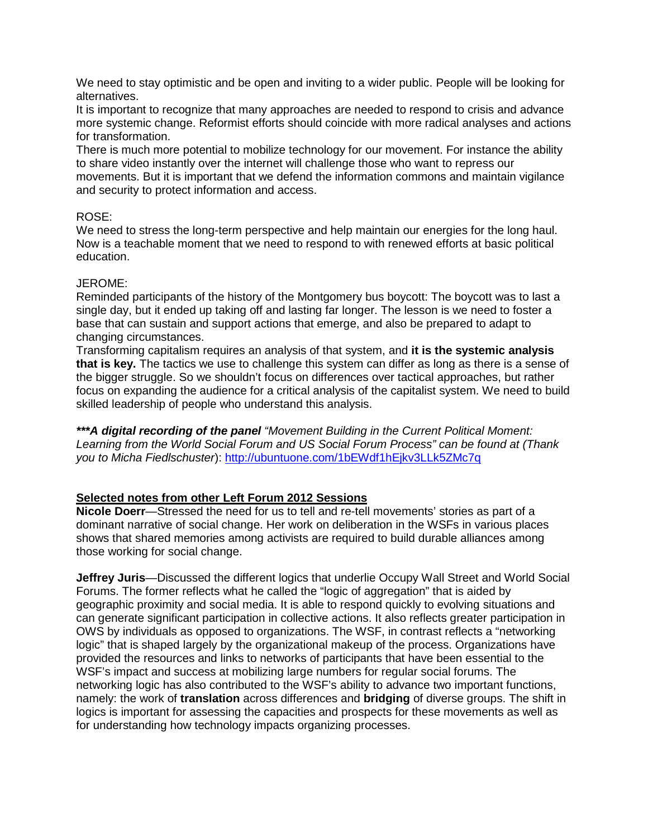We need to stay optimistic and be open and inviting to a wider public. People will be looking for alternatives.

It is important to recognize that many approaches are needed to respond to crisis and advance more systemic change. Reformist efforts should coincide with more radical analyses and actions for transformation.

There is much more potential to mobilize technology for our movement. For instance the ability to share video instantly over the internet will challenge those who want to repress our movements. But it is important that we defend the information commons and maintain vigilance and security to protect information and access.

## ROSE:

We need to stress the long-term perspective and help maintain our energies for the long haul. Now is a teachable moment that we need to respond to with renewed efforts at basic political education.

## JEROME:

Reminded participants of the history of the Montgomery bus boycott: The boycott was to last a single day, but it ended up taking off and lasting far longer. The lesson is we need to foster a base that can sustain and support actions that emerge, and also be prepared to adapt to changing circumstances.

Transforming capitalism requires an analysis of that system, and **it is the systemic analysis that is key.** The tactics we use to challenge this system can differ as long as there is a sense of the bigger struggle. So we shouldn't focus on differences over tactical approaches, but rather focus on expanding the audience for a critical analysis of the capitalist system. We need to build skilled leadership of people who understand this analysis.

*\*\*\*A digital recording of the panel "Movement Building in the Current Political Moment: Learning from the World Social Forum and US Social Forum Process" can be found at (Thank you to Micha Fiedlschuster*):<http://ubuntuone.com/1bEWdf1hEjkv3LLk5ZMc7q>

## **Selected notes from other Left Forum 2012 Sessions**

**Nicole Doerr**—Stressed the need for us to tell and re-tell movements' stories as part of a dominant narrative of social change. Her work on deliberation in the WSFs in various places shows that shared memories among activists are required to build durable alliances among those working for social change.

**Jeffrey Juris**—Discussed the different logics that underlie Occupy Wall Street and World Social Forums. The former reflects what he called the "logic of aggregation" that is aided by geographic proximity and social media. It is able to respond quickly to evolving situations and can generate significant participation in collective actions. It also reflects greater participation in OWS by individuals as opposed to organizations. The WSF, in contrast reflects a "networking logic" that is shaped largely by the organizational makeup of the process. Organizations have provided the resources and links to networks of participants that have been essential to the WSF's impact and success at mobilizing large numbers for regular social forums. The networking logic has also contributed to the WSF's ability to advance two important functions, namely: the work of **translation** across differences and **bridging** of diverse groups. The shift in logics is important for assessing the capacities and prospects for these movements as well as for understanding how technology impacts organizing processes.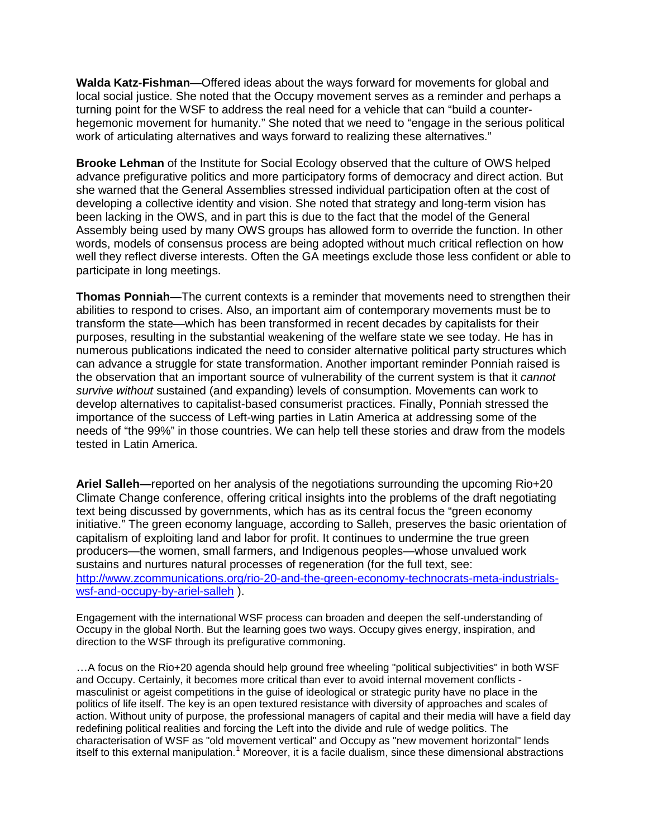**Walda Katz-Fishman**—Offered ideas about the ways forward for movements for global and local social justice. She noted that the Occupy movement serves as a reminder and perhaps a turning point for the WSF to address the real need for a vehicle that can "build a counterhegemonic movement for humanity." She noted that we need to "engage in the serious political work of articulating alternatives and ways forward to realizing these alternatives."

**Brooke Lehman** of the Institute for Social Ecology observed that the culture of OWS helped advance prefigurative politics and more participatory forms of democracy and direct action. But she warned that the General Assemblies stressed individual participation often at the cost of developing a collective identity and vision. She noted that strategy and long-term vision has been lacking in the OWS, and in part this is due to the fact that the model of the General Assembly being used by many OWS groups has allowed form to override the function. In other words, models of consensus process are being adopted without much critical reflection on how well they reflect diverse interests. Often the GA meetings exclude those less confident or able to participate in long meetings.

**Thomas Ponniah**—The current contexts is a reminder that movements need to strengthen their abilities to respond to crises. Also, an important aim of contemporary movements must be to transform the state—which has been transformed in recent decades by capitalists for their purposes, resulting in the substantial weakening of the welfare state we see today. He has in numerous publications indicated the need to consider alternative political party structures which can advance a struggle for state transformation. Another important reminder Ponniah raised is the observation that an important source of vulnerability of the current system is that it *cannot survive without* sustained (and expanding) levels of consumption. Movements can work to develop alternatives to capitalist-based consumerist practices. Finally, Ponniah stressed the importance of the success of Left-wing parties in Latin America at addressing some of the needs of "the 99%" in those countries. We can help tell these stories and draw from the models tested in Latin America.

**Ariel Salleh—**reported on her analysis of the negotiations surrounding the upcoming Rio+20 Climate Change conference, offering critical insights into the problems of the draft negotiating text being discussed by governments, which has as its central focus the "green economy initiative." The green economy language, according to Salleh, preserves the basic orientation of capitalism of exploiting land and labor for profit. It continues to undermine the true green producers—the women, small farmers, and Indigenous peoples—whose unvalued work sustains and nurtures natural processes of regeneration (for the full text, see: [http://www.zcommunications.org/rio-20-and-the-green-economy-technocrats-meta-industrials](http://www.zcommunications.org/rio-20-and-the-green-economy-technocrats-meta-industrials-wsf-and-occupy-by-ariel-salleh)[wsf-and-occupy-by-ariel-salleh](http://www.zcommunications.org/rio-20-and-the-green-economy-technocrats-meta-industrials-wsf-and-occupy-by-ariel-salleh) ).

Engagement with the international WSF process can broaden and deepen the self-understanding of Occupy in the global North. But the learning goes two ways. Occupy gives energy, inspiration, and direction to the WSF through its prefigurative commoning.

…A focus on the Rio+20 agenda should help ground free wheeling "political subjectivities" in both WSF and Occupy. Certainly, it becomes more critical than ever to avoid internal movement conflicts masculinist or ageist competitions in the guise of ideological or strategic purity have no place in the politics of life itself. The key is an open textured resistance with diversity of approaches and scales of action. Without unity of purpose, the professional managers of capital and their media will have a field day redefining political realities and forcing the Left into the divide and rule of wedge politics. The characterisation of WSF as "old movement vertical" and Occupy as "new movement horizontal" lends itself to this external manipulation.<sup>[1](#page-6-0)</sup> Moreover, it is a facile dualism, since these dimensional abstractions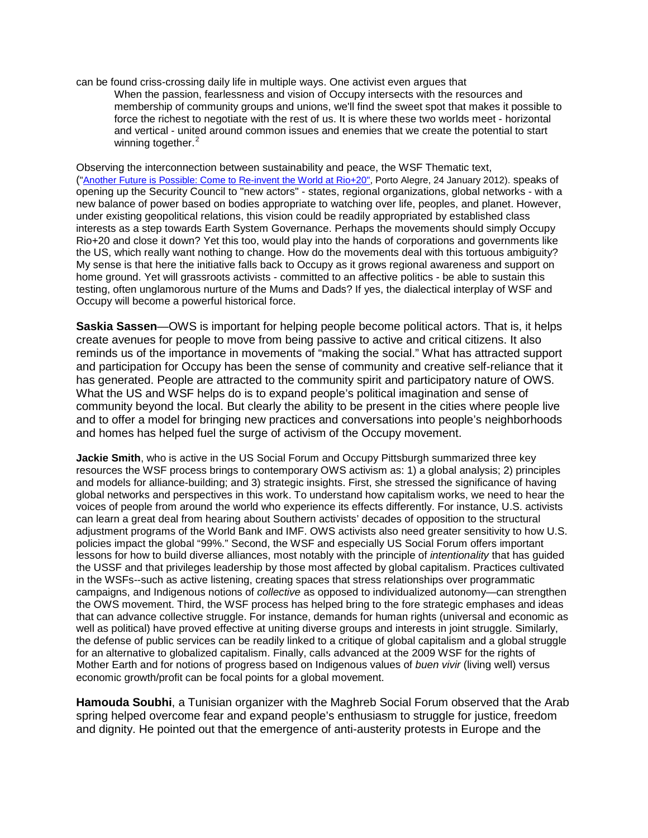can be found criss-crossing daily life in multiple ways. One activist even argues that When the passion, fearlessness and vision of Occupy intersects with the resources and membership of community groups and unions, we'll find the sweet spot that makes it possible to force the richest to negotiate with the rest of us. It is where these two worlds meet - horizontal and vertical - united around common issues and enemies that we create the potential to start winning together.<sup>[2](#page-6-1)</sup>

Observing the interconnection between sustainability and peace, the WSF Thematic text, (["Another Future is Possible: Come to Re-invent the World at Rio+20",](http://rio20.net/wp-content/uploads/2012/02/Another-Future.pdf) Porto Alegre, 24 January 2012). speaks of opening up the Security Council to "new actors" - states, regional organizations, global networks - with a new balance of power based on bodies appropriate to watching over life, peoples, and planet. However, under existing geopolitical relations, this vision could be readily appropriated by established class interests as a step towards Earth System Governance. Perhaps the movements should simply Occupy Rio+20 and close it down? Yet this too, would play into the hands of corporations and governments like the US, which really want nothing to change. How do the movements deal with this tortuous ambiguity? My sense is that here the initiative falls back to Occupy as it grows regional awareness and support on home ground. Yet will grassroots activists - committed to an affective politics - be able to sustain this testing, often unglamorous nurture of the Mums and Dads? If yes, the dialectical interplay of WSF and Occupy will become a powerful historical force.

**Saskia Sassen**—OWS is important for helping people become political actors. That is, it helps create avenues for people to move from being passive to active and critical citizens. It also reminds us of the importance in movements of "making the social." What has attracted support and participation for Occupy has been the sense of community and creative self-reliance that it has generated. People are attracted to the community spirit and participatory nature of OWS. What the US and WSF helps do is to expand people's political imagination and sense of community beyond the local. But clearly the ability to be present in the cities where people live and to offer a model for bringing new practices and conversations into people's neighborhoods and homes has helped fuel the surge of activism of the Occupy movement.

**Jackie Smith**, who is active in the US Social Forum and Occupy Pittsburgh summarized three key resources the WSF process brings to contemporary OWS activism as: 1) a global analysis; 2) principles and models for alliance-building; and 3) strategic insights. First, she stressed the significance of having global networks and perspectives in this work. To understand how capitalism works, we need to hear the voices of people from around the world who experience its effects differently. For instance, U.S. activists can learn a great deal from hearing about Southern activists' decades of opposition to the structural adjustment programs of the World Bank and IMF. OWS activists also need greater sensitivity to how U.S. policies impact the global "99%." Second, the WSF and especially US Social Forum offers important lessons for how to build diverse alliances, most notably with the principle of *intentionality* that has guided the USSF and that privileges leadership by those most affected by global capitalism. Practices cultivated in the WSFs--such as active listening, creating spaces that stress relationships over programmatic campaigns, and Indigenous notions of *collective* as opposed to individualized autonomy—can strengthen the OWS movement. Third, the WSF process has helped bring to the fore strategic emphases and ideas that can advance collective struggle. For instance, demands for human rights (universal and economic as well as political) have proved effective at uniting diverse groups and interests in joint struggle. Similarly, the defense of public services can be readily linked to a critique of global capitalism and a global struggle for an alternative to globalized capitalism. Finally, calls advanced at the 2009 WSF for the rights of Mother Earth and for notions of progress based on Indigenous values of *buen vivir* (living well) versus economic growth/profit can be focal points for a global movement.

**Hamouda Soubhi**, a Tunisian organizer with the Maghreb Social Forum observed that the Arab spring helped overcome fear and expand people's enthusiasm to struggle for justice, freedom and dignity. He pointed out that the emergence of anti-austerity protests in Europe and the